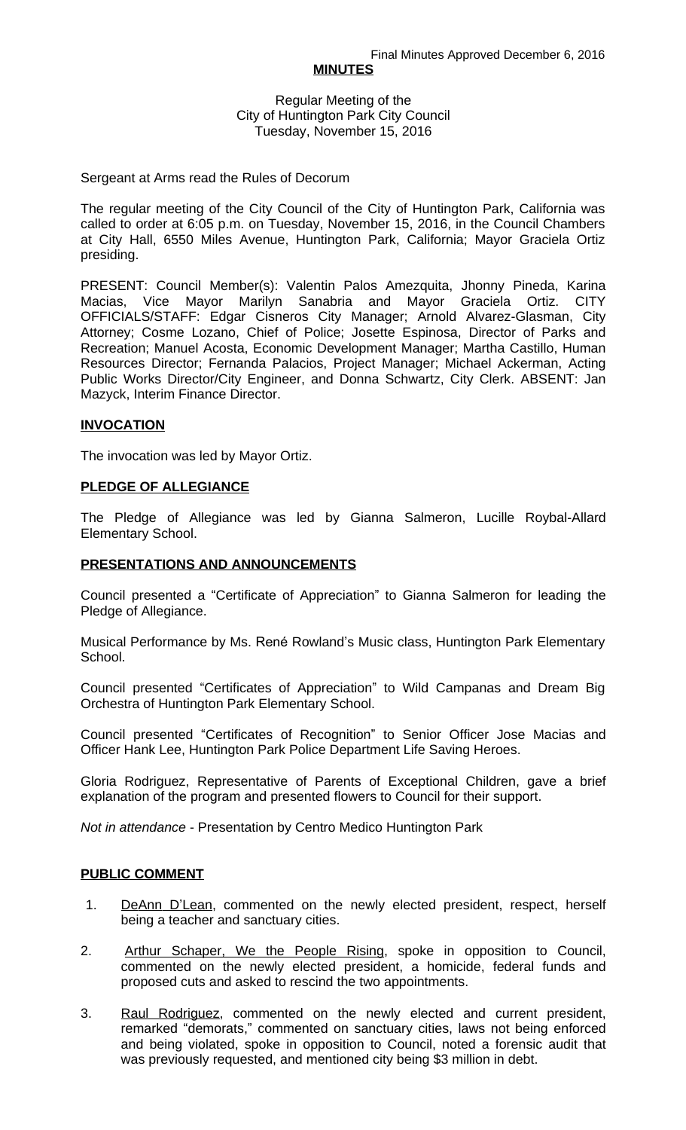#### **MINUTES**

Regular Meeting of the City of Huntington Park City Council Tuesday, November 15, 2016

#### Sergeant at Arms read the Rules of Decorum

The regular meeting of the City Council of the City of Huntington Park, California was called to order at 6:05 p.m. on Tuesday, November 15, 2016, in the Council Chambers at City Hall, 6550 Miles Avenue, Huntington Park, California; Mayor Graciela Ortiz presiding.

PRESENT: Council Member(s): Valentin Palos Amezquita, Jhonny Pineda, Karina Macias, Vice Mayor Marilyn Sanabria and Mayor Graciela Ortiz. CITY OFFICIALS/STAFF: Edgar Cisneros City Manager; Arnold Alvarez-Glasman, City Attorney; Cosme Lozano, Chief of Police; Josette Espinosa, Director of Parks and Recreation; Manuel Acosta, Economic Development Manager; Martha Castillo, Human Resources Director; Fernanda Palacios, Project Manager; Michael Ackerman, Acting Public Works Director/City Engineer, and Donna Schwartz, City Clerk. ABSENT: Jan Mazyck, Interim Finance Director.

### **INVOCATION**

The invocation was led by Mayor Ortiz.

### **PLEDGE OF ALLEGIANCE**

The Pledge of Allegiance was led by Gianna Salmeron, Lucille Roybal-Allard Elementary School.

### **PRESENTATIONS AND ANNOUNCEMENTS**

Council presented a "Certificate of Appreciation" to Gianna Salmeron for leading the Pledge of Allegiance.

Musical Performance by Ms. René Rowland's Music class, Huntington Park Elementary School.

Council presented "Certificates of Appreciation" to Wild Campanas and Dream Big Orchestra of Huntington Park Elementary School.

Council presented "Certificates of Recognition" to Senior Officer Jose Macias and Officer Hank Lee, Huntington Park Police Department Life Saving Heroes.

Gloria Rodriguez, Representative of Parents of Exceptional Children, gave a brief explanation of the program and presented flowers to Council for their support.

*Not in attendance* - Presentation by Centro Medico Huntington Park

#### **PUBLIC COMMENT**

- 1. DeAnn D'Lean, commented on the newly elected president, respect, herself being a teacher and sanctuary cities.
- 2. Arthur Schaper, We the People Rising, spoke in opposition to Council, commented on the newly elected president, a homicide, federal funds and proposed cuts and asked to rescind the two appointments.
- 3. Raul Rodriguez, commented on the newly elected and current president, remarked "demorats," commented on sanctuary cities, laws not being enforced and being violated, spoke in opposition to Council, noted a forensic audit that was previously requested, and mentioned city being \$3 million in debt.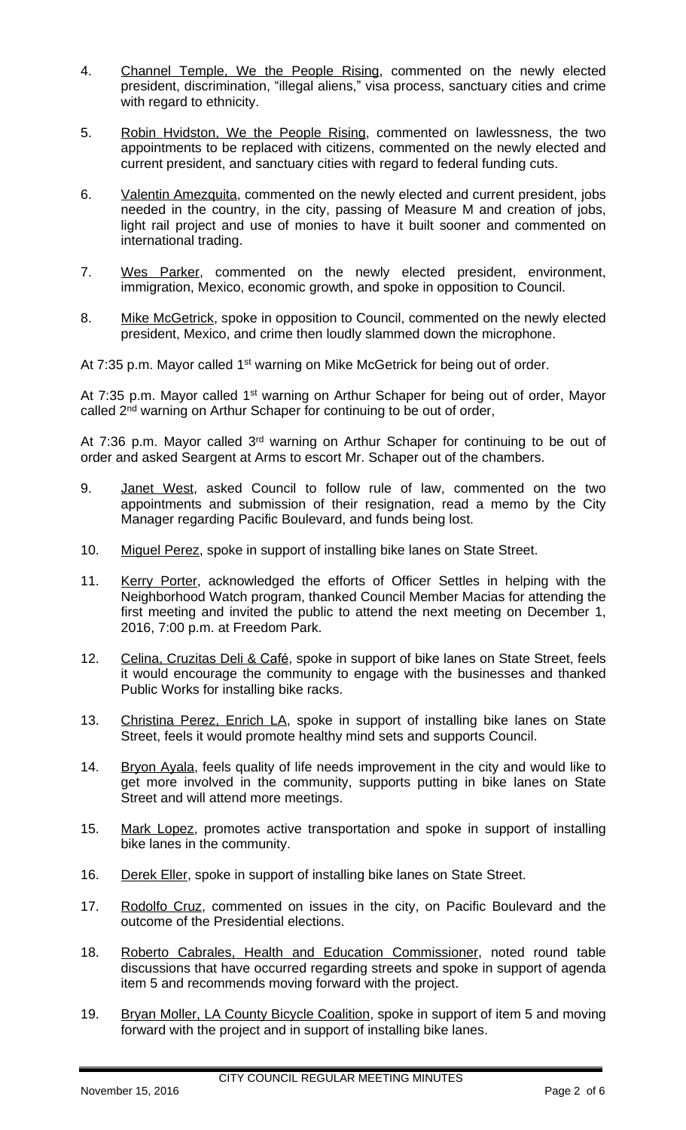- 4. Channel Temple, We the People Rising, commented on the newly elected president, discrimination, "illegal aliens," visa process, sanctuary cities and crime with regard to ethnicity.
- 5. Robin Hvidston, We the People Rising, commented on lawlessness, the two appointments to be replaced with citizens, commented on the newly elected and current president, and sanctuary cities with regard to federal funding cuts.
- 6. Valentin Amezquita, commented on the newly elected and current president, jobs needed in the country, in the city, passing of Measure M and creation of jobs, light rail project and use of monies to have it built sooner and commented on international trading.
- 7. Wes Parker, commented on the newly elected president, environment, immigration, Mexico, economic growth, and spoke in opposition to Council.
- 8. Mike McGetrick, spoke in opposition to Council, commented on the newly elected president, Mexico, and crime then loudly slammed down the microphone.

At 7:35 p.m. Mayor called 1<sup>st</sup> warning on Mike McGetrick for being out of order.

At 7:35 p.m. Mayor called 1<sup>st</sup> warning on Arthur Schaper for being out of order, Mayor called 2<sup>nd</sup> warning on Arthur Schaper for continuing to be out of order,

At 7:36 p.m. Mayor called 3<sup>rd</sup> warning on Arthur Schaper for continuing to be out of order and asked Seargent at Arms to escort Mr. Schaper out of the chambers.

- 9. Janet West, asked Council to follow rule of law, commented on the two appointments and submission of their resignation, read a memo by the City Manager regarding Pacific Boulevard, and funds being lost.
- 10. Miguel Perez, spoke in support of installing bike lanes on State Street.
- 11. Kerry Porter, acknowledged the efforts of Officer Settles in helping with the Neighborhood Watch program, thanked Council Member Macias for attending the first meeting and invited the public to attend the next meeting on December 1, 2016, 7:00 p.m. at Freedom Park.
- 12. Celina, Cruzitas Deli & Café, spoke in support of bike lanes on State Street, feels it would encourage the community to engage with the businesses and thanked Public Works for installing bike racks.
- 13. Christina Perez, Enrich LA, spoke in support of installing bike lanes on State Street, feels it would promote healthy mind sets and supports Council.
- 14. Bryon Ayala, feels quality of life needs improvement in the city and would like to get more involved in the community, supports putting in bike lanes on State Street and will attend more meetings.
- 15. Mark Lopez, promotes active transportation and spoke in support of installing bike lanes in the community.
- 16. Derek Eller, spoke in support of installing bike lanes on State Street.
- 17. Rodolfo Cruz, commented on issues in the city, on Pacific Boulevard and the outcome of the Presidential elections.
- 18. Roberto Cabrales, Health and Education Commissioner, noted round table discussions that have occurred regarding streets and spoke in support of agenda item 5 and recommends moving forward with the project.
- 19. Bryan Moller, LA County Bicycle Coalition, spoke in support of item 5 and moving forward with the project and in support of installing bike lanes.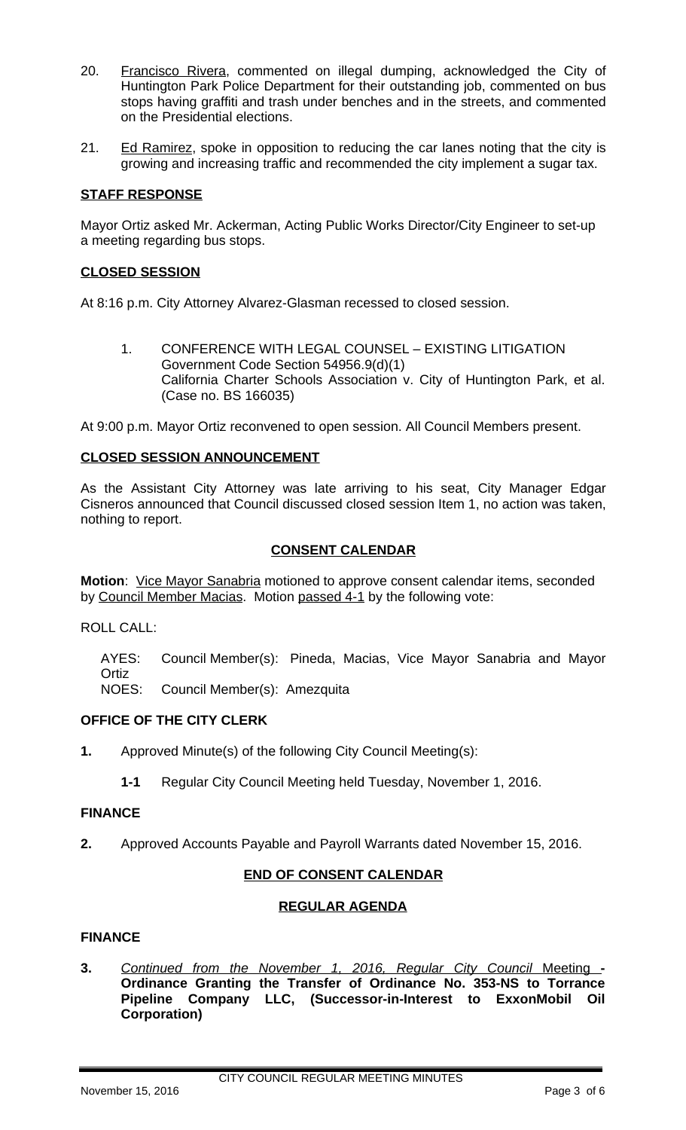- 20. Francisco Rivera, commented on illegal dumping, acknowledged the City of Huntington Park Police Department for their outstanding job, commented on bus stops having graffiti and trash under benches and in the streets, and commented on the Presidential elections.
- 21. Ed Ramirez, spoke in opposition to reducing the car lanes noting that the city is growing and increasing traffic and recommended the city implement a sugar tax.

## **STAFF RESPONSE**

Mayor Ortiz asked Mr. Ackerman, Acting Public Works Director/City Engineer to set-up a meeting regarding bus stops.

### **CLOSED SESSION**

At 8:16 p.m. City Attorney Alvarez-Glasman recessed to closed session.

1. CONFERENCE WITH LEGAL COUNSEL – EXISTING LITIGATION Government Code Section 54956.9(d)(1) California Charter Schools Association v. City of Huntington Park, et al. (Case no. BS 166035)

At 9:00 p.m. Mayor Ortiz reconvened to open session. All Council Members present.

### **CLOSED SESSION ANNOUNCEMENT**

As the Assistant City Attorney was late arriving to his seat, City Manager Edgar Cisneros announced that Council discussed closed session Item 1, no action was taken, nothing to report.

### **CONSENT CALENDAR**

**Motion**: Vice Mayor Sanabria motioned to approve consent calendar items, seconded by Council Member Macias. Motion passed 4-1 by the following vote:

ROLL CALL:

AYES: Council Member(s): Pineda, Macias, Vice Mayor Sanabria and Mayor **Ortiz** 

NOES: Council Member(s): Amezquita

## **OFFICE OF THE CITY CLERK**

- **1.** Approved Minute(s) of the following City Council Meeting(s):
	- **1-1** Regular City Council Meeting held Tuesday, November 1, 2016.

#### **FINANCE**

**2.** Approved Accounts Payable and Payroll Warrants dated November 15, 2016.

## **END OF CONSENT CALENDAR**

## **REGULAR AGENDA**

## **FINANCE**

**3.** *Continued from the November 1, 2016, Regular City Council* Meeting **- Ordinance Granting the Transfer of Ordinance No. 353-NS to Torrance Pipeline Company LLC, (Successor-in-Interest to ExxonMobil Oil Corporation)**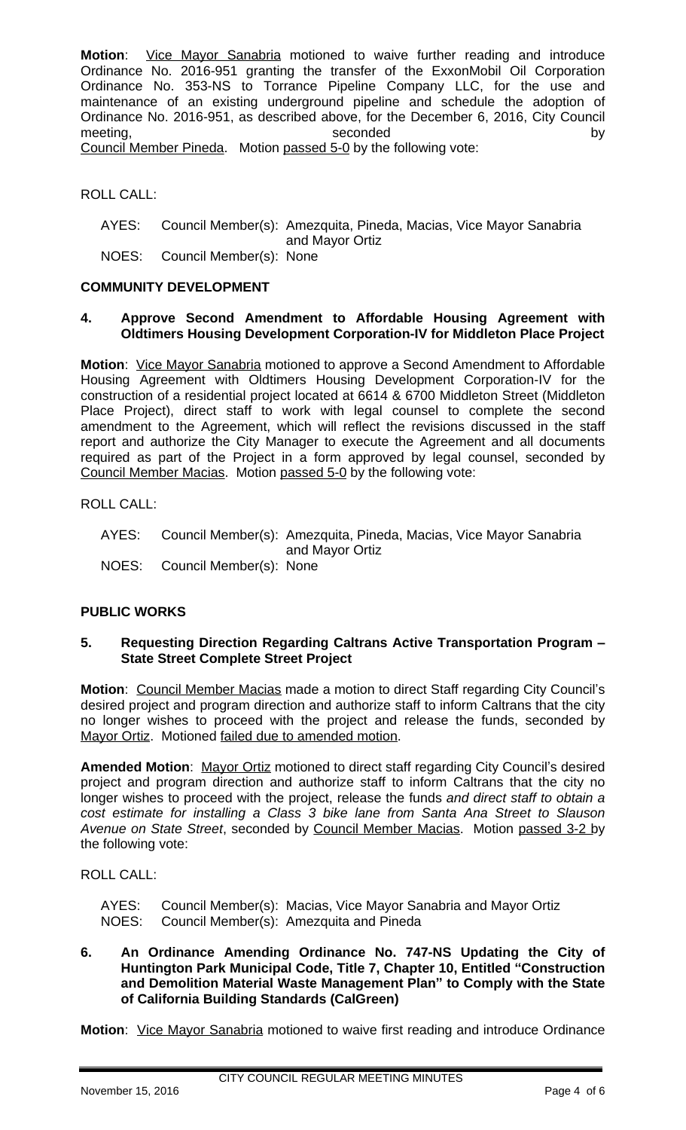**Motion**: Vice Mayor Sanabria motioned to waive further reading and introduce Ordinance No. 2016-951 granting the transfer of the ExxonMobil Oil Corporation Ordinance No. 353-NS to Torrance Pipeline Company LLC, for the use and maintenance of an existing underground pipeline and schedule the adoption of Ordinance No. 2016-951, as described above, for the December 6, 2016, City Council meeting, the condex of the seconded by the seconded by the by Council Member Pineda. Motion passed 5-0 by the following vote:

ROLL CALL:

AYES: Council Member(s): Amezquita, Pineda, Macias, Vice Mayor Sanabria and Mayor Ortiz

NOES: Council Member(s): None

### **COMMUNITY DEVELOPMENT**

### **4. Approve Second Amendment to Affordable Housing Agreement with Oldtimers Housing Development Corporation-IV for Middleton Place Project**

**Motion**: Vice Mayor Sanabria motioned to approve a Second Amendment to Affordable Housing Agreement with Oldtimers Housing Development Corporation-IV for the construction of a residential project located at 6614 & 6700 Middleton Street (Middleton Place Project), direct staff to work with legal counsel to complete the second amendment to the Agreement, which will reflect the revisions discussed in the staff report and authorize the City Manager to execute the Agreement and all documents required as part of the Project in a form approved by legal counsel, seconded by Council Member Macias. Motion passed 5-0 by the following vote:

ROLL CALL:

AYES: Council Member(s): Amezquita, Pineda, Macias, Vice Mayor Sanabria and Mayor Ortiz NOES: Council Member(s): None

## **PUBLIC WORKS**

### **5. Requesting Direction Regarding Caltrans Active Transportation Program – State Street Complete Street Project**

**Motion**: Council Member Macias made a motion to direct Staff regarding City Council's desired project and program direction and authorize staff to inform Caltrans that the city no longer wishes to proceed with the project and release the funds, seconded by Mayor Ortiz. Motioned failed due to amended motion.

**Amended Motion**: Mayor Ortiz motioned to direct staff regarding City Council's desired project and program direction and authorize staff to inform Caltrans that the city no longer wishes to proceed with the project, release the funds *and direct staff to obtain a cost estimate for installing a Class 3 bike lane from Santa Ana Street to Slauson Avenue on State Street*, seconded by Council Member Macias. Motion passed 3-2 by the following vote:

### ROLL CALL:

AYES: Council Member(s): Macias, Vice Mayor Sanabria and Mayor Ortiz NOES: Council Member(s): Amezquita and Pineda

#### **6. An Ordinance Amending Ordinance No. 747-NS Updating the City of Huntington Park Municipal Code, Title 7, Chapter 10, Entitled "Construction and Demolition Material Waste Management Plan" to Comply with the State of California Building Standards (CalGreen)**

**Motion:** Vice Mayor Sanabria motioned to waive first reading and introduce Ordinance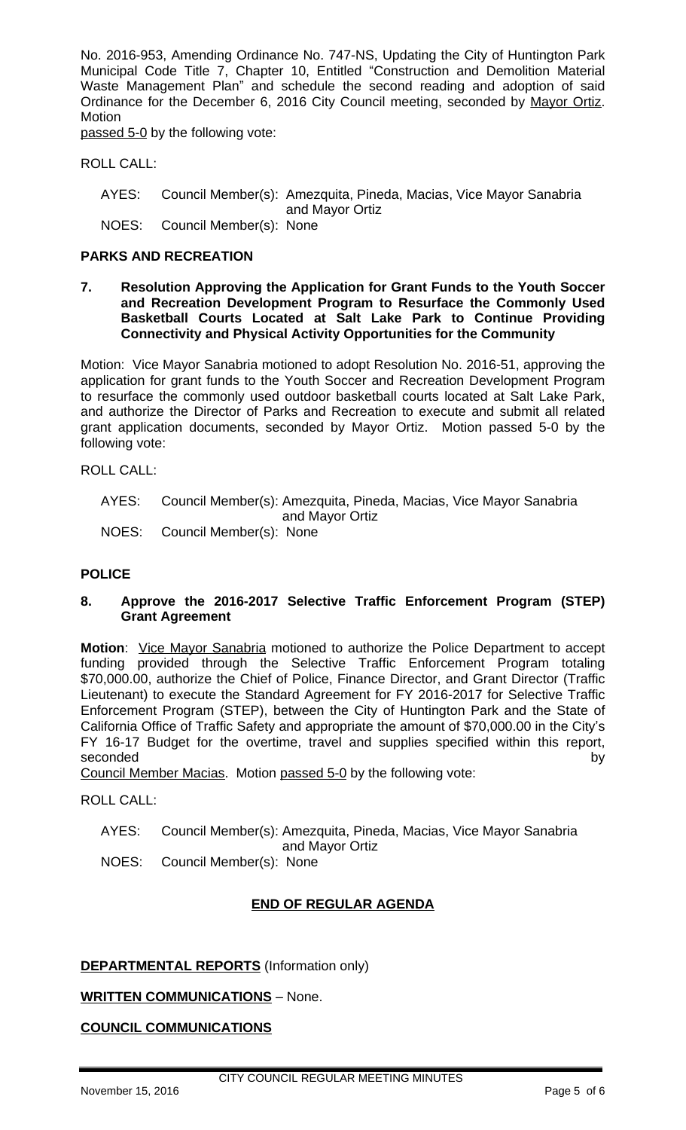No. 2016-953, Amending Ordinance No. 747-NS, Updating the City of Huntington Park Municipal Code Title 7, Chapter 10, Entitled "Construction and Demolition Material Waste Management Plan" and schedule the second reading and adoption of said Ordinance for the December 6, 2016 City Council meeting, seconded by Mayor Ortiz. **Motion** 

passed 5-0 by the following vote:

ROLL CALL:

- AYES: Council Member(s): Amezquita, Pineda, Macias, Vice Mayor Sanabria and Mayor Ortiz
- NOES: Council Member(s): None

#### **PARKS AND RECREATION**

**7. Resolution Approving the Application for Grant Funds to the Youth Soccer and Recreation Development Program to Resurface the Commonly Used Basketball Courts Located at Salt Lake Park to Continue Providing Connectivity and Physical Activity Opportunities for the Community**

Motion: Vice Mayor Sanabria motioned to adopt Resolution No. 2016-51, approving the application for grant funds to the Youth Soccer and Recreation Development Program to resurface the commonly used outdoor basketball courts located at Salt Lake Park, and authorize the Director of Parks and Recreation to execute and submit all related grant application documents, seconded by Mayor Ortiz. Motion passed 5-0 by the following vote:

ROLL CALL:

- AYES: Council Member(s): Amezquita, Pineda, Macias, Vice Mayor Sanabria and Mayor Ortiz
- NOES: Council Member(s): None

## **POLICE**

### **8. Approve the 2016-2017 Selective Traffic Enforcement Program (STEP) Grant Agreement**

**Motion**: Vice Mayor Sanabria motioned to authorize the Police Department to accept funding provided through the Selective Traffic Enforcement Program totaling \$70,000.00, authorize the Chief of Police, Finance Director, and Grant Director (Traffic Lieutenant) to execute the Standard Agreement for FY 2016-2017 for Selective Traffic Enforcement Program (STEP), between the City of Huntington Park and the State of California Office of Traffic Safety and appropriate the amount of \$70,000.00 in the City's FY 16-17 Budget for the overtime, travel and supplies specified within this report, seconded by the contract of the contract of the contract of the contract of the contract of the contract of the

Council Member Macias. Motion passed 5-0 by the following vote:

ROLL CALL:

- AYES: Council Member(s): Amezquita, Pineda, Macias, Vice Mayor Sanabria
- and Mayor Ortiz
- NOES: Council Member(s): None

## **END OF REGULAR AGENDA**

## **DEPARTMENTAL REPORTS** (Information only)

## **WRITTEN COMMUNICATIONS** – None.

## **COUNCIL COMMUNICATIONS**